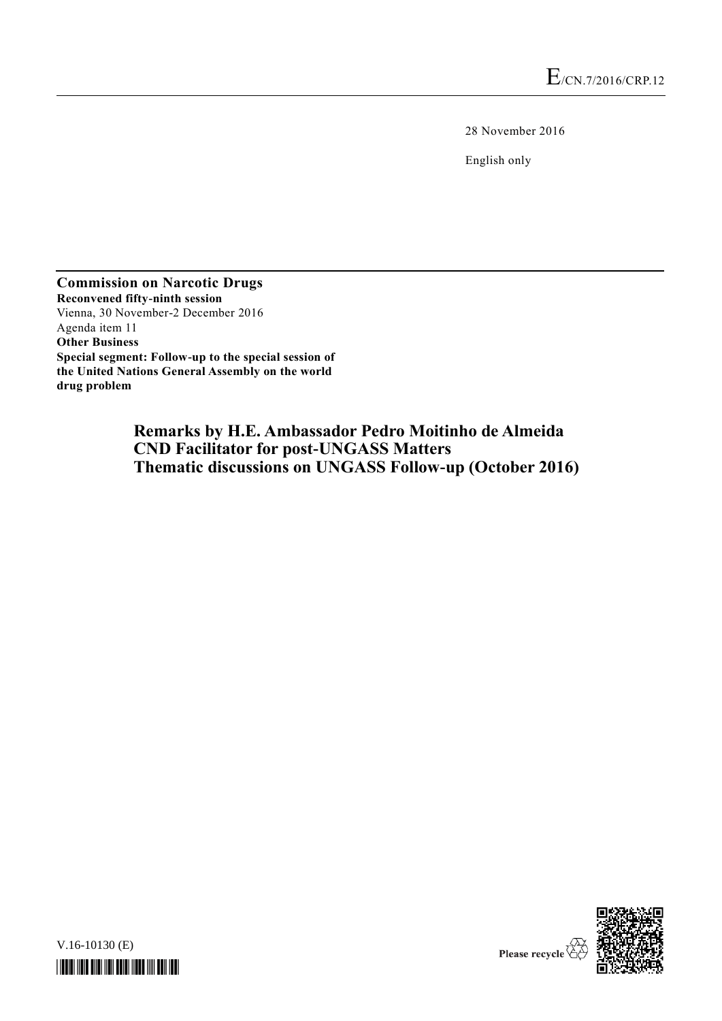28 November 2016

English only

**Commission on Narcotic Drugs Reconvened fifty-ninth session** Vienna, 30 November-2 December 2016 Agenda item 11 **Other Business Special segment: Follow-up to the special session of the United Nations General Assembly on the world drug problem**

> **Remarks by H.E. Ambassador Pedro Moitinho de Almeida CND Facilitator for post-UNGASS Matters Thematic discussions on UNGASS Follow-up (October 2016)**

V.16-10130 (E) *\*1610130\**



Please recycle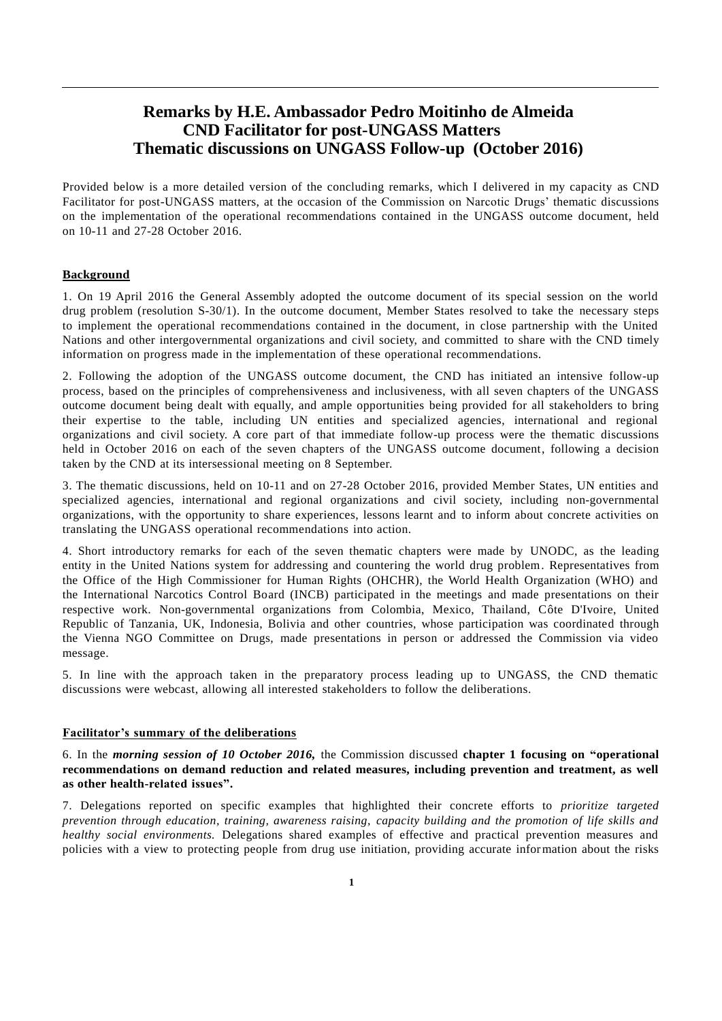## **Remarks by H.E. Ambassador Pedro Moitinho de Almeida CND Facilitator for post-UNGASS Matters Thematic discussions on UNGASS Follow-up (October 2016)**

Provided below is a more detailed version of the concluding remarks, which I delivered in my capacity as CND Facilitator for post-UNGASS matters, at the occasion of the Commission on Narcotic Drugs' thematic discussions on the implementation of the operational recommendations contained in the UNGASS outcome document, held on 10-11 and 27-28 October 2016.

## **Background**

1. On 19 April 2016 the General Assembly adopted the outcome document of its special session on the world drug problem (resolution S-30/1). In the outcome document, Member States resolved to take the necessary steps to implement the operational recommendations contained in the document, in close partnership with the United Nations and other intergovernmental organizations and civil society, and committed to share with the CND timely information on progress made in the implementation of these operational recommendations.

2. Following the adoption of the UNGASS outcome document, the CND has initiated an intensive follow-up process, based on the principles of comprehensiveness and inclusiveness, with all seven chapters of the UNGASS outcome document being dealt with equally, and ample opportunities being provided for all stakeholders to bring their expertise to the table, including UN entities and specialized agencies, international and regional organizations and civil society. A core part of that immediate follow-up process were the thematic discussions held in October 2016 on each of the seven chapters of the UNGASS outcome document, following a decision taken by the CND at its intersessional meeting on 8 September.

3. The thematic discussions, held on 10-11 and on 27-28 October 2016, provided Member States, UN entities and specialized agencies, international and regional organizations and civil society, including non-governmental organizations, with the opportunity to share experiences, lessons learnt and to inform about concrete activities on translating the UNGASS operational recommendations into action.

4. Short introductory remarks for each of the seven thematic chapters were made by UNODC, as the leading entity in the United Nations system for addressing and countering the world drug problem. Representatives from the Office of the High Commissioner for Human Rights (OHCHR), the World Health Organization (WHO) and the International Narcotics Control Board (INCB) participated in the meetings and made presentations on their respective work. Non-governmental organizations from Colombia, Mexico, Thailand, Côte D'Ivoire, United Republic of Tanzania, UK, Indonesia, Bolivia and other countries, whose participation was coordinated through the Vienna NGO Committee on Drugs, made presentations in person or addressed the Commission via video message.

5. In line with the approach taken in the preparatory process leading up to UNGASS, the CND thematic discussions were webcast, allowing all interested stakeholders to follow the deliberations.

## **Facilitator's summary of the deliberations**

6. In the *morning session of 10 October 2016,* the Commission discussed **chapter 1 focusing on "operational recommendations on demand reduction and related measures, including prevention and treatment, as well as other health-related issues".**

7. Delegations reported on specific examples that highlighted their concrete efforts to *prioritize targeted prevention through education, training, awareness raising, capacity building and the promotion of life skills and healthy social environments.* Delegations shared examples of effective and practical prevention measures and policies with a view to protecting people from drug use initiation, providing accurate information about the risks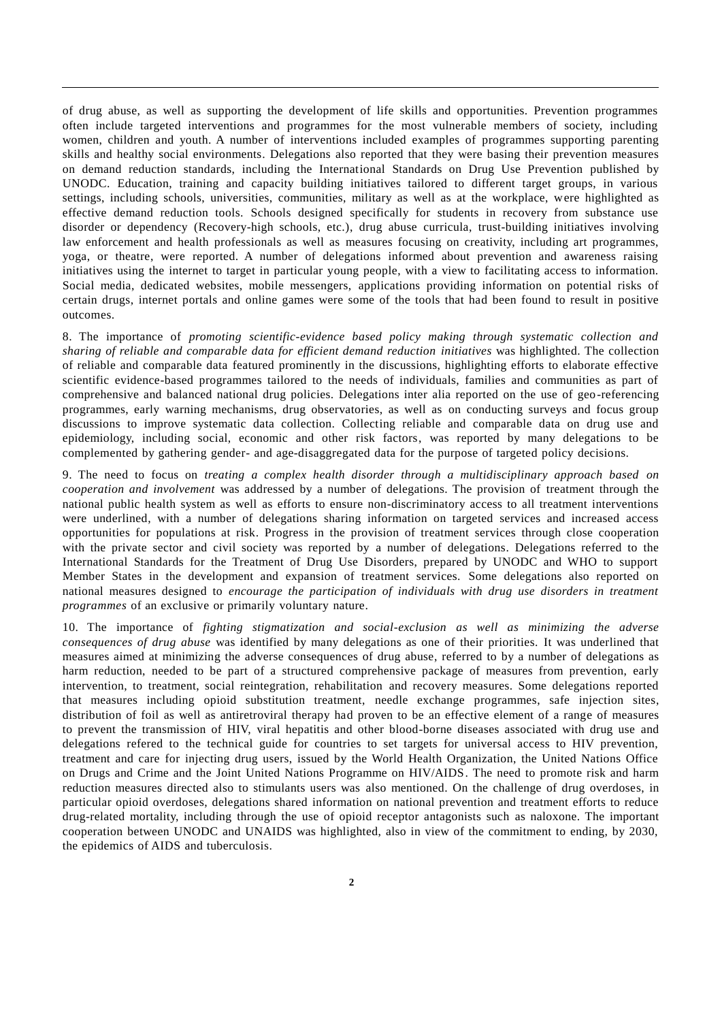of drug abuse, as well as supporting the development of life skills and opportunities. Prevention programmes often include targeted interventions and programmes for the most vulnerable members of society, including women, children and youth. A number of interventions included examples of programmes supporting parenting skills and healthy social environments. Delegations also reported that they were basing their prevention measures on demand reduction standards, including the International Standards on Drug Use Prevention published by UNODC. Education, training and capacity building initiatives tailored to different target groups, in various settings, including schools, universities, communities, military as well as at the workplace, were highlighted as effective demand reduction tools. Schools designed specifically for students in recovery from substance use disorder or dependency (Recovery-high schools, etc.), drug abuse curricula, trust-building initiatives involving law enforcement and health professionals as well as measures focusing on creativity, including art programmes, yoga, or theatre, were reported. A number of delegations informed about prevention and awareness raising initiatives using the internet to target in particular young people, with a view to facilitating access to information. Social media, dedicated websites, mobile messengers, applications providing information on potential risks of certain drugs, internet portals and online games were some of the tools that had been found to result in positive outcomes.

8. The importance of *promoting scientific-evidence based policy making through systematic collection and sharing of reliable and comparable data for efficient demand reduction initiatives* was highlighted. The collection of reliable and comparable data featured prominently in the discussions, highlighting efforts to elaborate effective scientific evidence-based programmes tailored to the needs of individuals, families and communities as part of comprehensive and balanced national drug policies. Delegations inter alia reported on the use of geo-referencing programmes, early warning mechanisms, drug observatories, as well as on conducting surveys and focus group discussions to improve systematic data collection. Collecting reliable and comparable data on drug use and epidemiology, including social, economic and other risk factors, was reported by many delegations to be complemented by gathering gender- and age-disaggregated data for the purpose of targeted policy decisions.

9. The need to focus on *treating a complex health disorder through a multidisciplinary approach based on cooperation and involvement* was addressed by a number of delegations. The provision of treatment through the national public health system as well as efforts to ensure non-discriminatory access to all treatment interventions were underlined, with a number of delegations sharing information on targeted services and increased access opportunities for populations at risk. Progress in the provision of treatment services through close cooperation with the private sector and civil society was reported by a number of delegations. Delegations referred to the International Standards for the Treatment of Drug Use Disorders, prepared by UNODC and WHO to support Member States in the development and expansion of treatment services. Some delegations also reported on national measures designed to *encourage the participation of individuals with drug use disorders in treatment programmes* of an exclusive or primarily voluntary nature.

10. The importance of *fighting stigmatization and social-exclusion as well as minimizing the adverse consequences of drug abuse* was identified by many delegations as one of their priorities. It was underlined that measures aimed at minimizing the adverse consequences of drug abuse, referred to by a number of delegations as harm reduction, needed to be part of a structured comprehensive package of measures from prevention, early intervention, to treatment, social reintegration, rehabilitation and recovery measures. Some delegations reported that measures including opioid substitution treatment, needle exchange programmes, safe injection sites, distribution of foil as well as antiretroviral therapy had proven to be an effective element of a range of measures to prevent the transmission of HIV, viral hepatitis and other blood-borne diseases associated with drug use and delegations refered to the technical guide for countries to set targets for universal access to HIV prevention, treatment and care for injecting drug users, issued by the World Health Organization, the United Nations Office on Drugs and Crime and the Joint United Nations Programme on HIV/AIDS. The need to promote risk and harm reduction measures directed also to stimulants users was also mentioned. On the challenge of drug overdoses, in particular opioid overdoses, delegations shared information on national prevention and treatment efforts to reduce drug-related mortality, including through the use of opioid receptor antagonists such as naloxone. The important cooperation between UNODC and UNAIDS was highlighted, also in view of the commitment to ending, by 2030, the epidemics of AIDS and tuberculosis.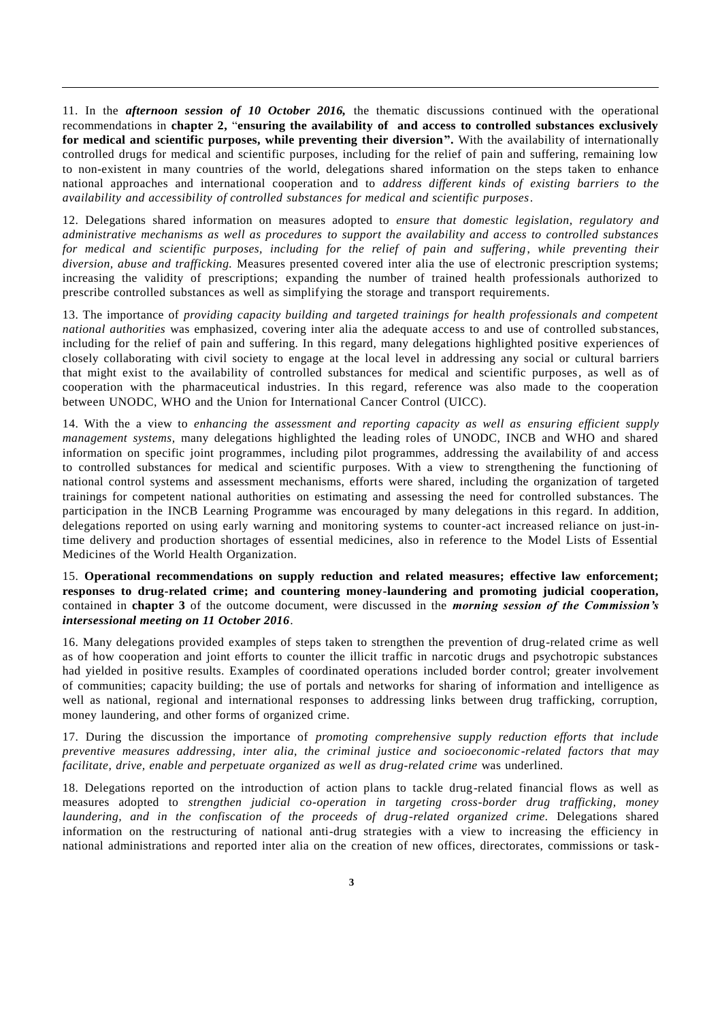11. In the *afternoon session of 10 October 2016,* the thematic discussions continued with the operational recommendations in **chapter 2,** "**ensuring the availability of and access to controlled substances exclusively for medical and scientific purposes, while preventing their diversion".** With the availability of internationally controlled drugs for medical and scientific purposes, including for the relief of pain and suffering, remaining low to non-existent in many countries of the world, delegations shared information on the steps taken to enhance national approaches and international cooperation and to *address different kinds of existing barriers to the availability and accessibility of controlled substances for medical and scientific purposes*.

12. Delegations shared information on measures adopted to *ensure that domestic legislation, regulatory and administrative mechanisms as well as procedures to support the availability and access to controlled substances for medical and scientific purposes, including for the relief of pain and suffering*, *while preventing their diversion, abuse and trafficking.* Measures presented covered inter alia the use of electronic prescription systems; increasing the validity of prescriptions; expanding the number of trained health professionals authorized to prescribe controlled substances as well as simplifying the storage and transport requirements.

13. The importance of *providing capacity building and targeted trainings for health professionals and competent national authorities* was emphasized, covering inter alia the adequate access to and use of controlled substances, including for the relief of pain and suffering. In this regard, many delegations highlighted positive experiences of closely collaborating with civil society to engage at the local level in addressing any social or cultural barriers that might exist to the availability of controlled substances for medical and scientific purposes, as well as of cooperation with the pharmaceutical industries. In this regard, reference was also made to the cooperation between UNODC, WHO and the Union for International Cancer Control (UICC).

14. With the a view to *enhancing the assessment and reporting capacity as well as ensuring efficient supply management systems,* many delegations highlighted the leading roles of UNODC, INCB and WHO and shared information on specific joint programmes, including pilot programmes, addressing the availability of and access to controlled substances for medical and scientific purposes. With a view to strengthening the functioning of national control systems and assessment mechanisms, efforts were shared, including the organization of targeted trainings for competent national authorities on estimating and assessing the need for controlled substances. The participation in the INCB Learning Programme was encouraged by many delegations in this regard. In addition, delegations reported on using early warning and monitoring systems to counter-act increased reliance on just-intime delivery and production shortages of essential medicines, also in reference to the Model Lists of Essential Medicines of the World Health Organization.

15. **Operational recommendations on supply reduction and related measures; effective law enforcement; responses to drug-related crime; and countering money-laundering and promoting judicial cooperation,** contained in **chapter 3** of the outcome document, were discussed in the *morning session of the Commission's intersessional meeting on 11 October 2016*.

16. Many delegations provided examples of steps taken to strengthen the prevention of drug-related crime as well as of how cooperation and joint efforts to counter the illicit traffic in narcotic drugs and psychotropic substances had yielded in positive results. Examples of coordinated operations included border control; greater involvement of communities; capacity building; the use of portals and networks for sharing of information and intelligence as well as national, regional and international responses to addressing links between drug trafficking, corruption, money laundering, and other forms of organized crime.

17. During the discussion the importance of *promoting comprehensive supply reduction efforts that include preventive measures addressing, inter alia, the criminal justice and socioeconomic -related factors that may facilitate, drive, enable and perpetuate organized as well as drug-related crime* was underlined.

18. Delegations reported on the introduction of action plans to tackle drug-related financial flows as well as measures adopted to *strengthen judicial co-operation in targeting cross-border drug trafficking, money laundering, and in the confiscation of the proceeds of drug-related organized crime.* Delegations shared information on the restructuring of national anti-drug strategies with a view to increasing the efficiency in national administrations and reported inter alia on the creation of new offices, directorates, commissions or task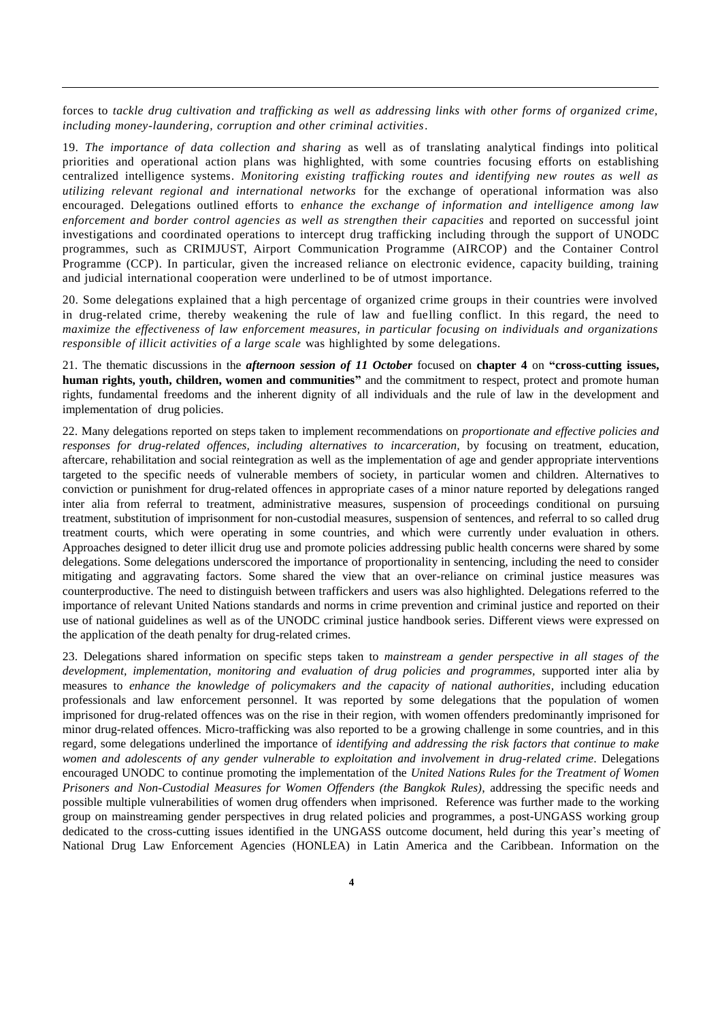forces to *tackle drug cultivation and trafficking as well as addressing links with other forms of organized crime, including money-laundering, corruption and other criminal activities*.

19. *The importance of data collection and sharing* as well as of translating analytical findings into political priorities and operational action plans was highlighted, with some countries focusing efforts on establishing centralized intelligence systems. *Monitoring existing trafficking routes and identifying new routes as well as utilizing relevant regional and international networks* for the exchange of operational information was also encouraged. Delegations outlined efforts to *enhance the exchange of information and intelligence among law enforcement and border control agencies as well as strengthen their capacities* and reported on successful joint investigations and coordinated operations to intercept drug trafficking including through the support of UNODC programmes, such as CRIMJUST, Airport Communication Programme (AIRCOP) and the Container Control Programme (CCP). In particular, given the increased reliance on electronic evidence, capacity building, training and judicial international cooperation were underlined to be of utmost importance.

20. Some delegations explained that a high percentage of organized crime groups in their countries were involved in drug-related crime, thereby weakening the rule of law and fuelling conflict. In this regard, the need to *maximize the effectiveness of law enforcement measures, in particular focusing on individuals and organizations responsible of illicit activities of a large scale* was highlighted by some delegations.

21. The thematic discussions in the *afternoon session of 11 October* focused on **chapter 4** on **"cross-cutting issues, human rights, youth, children, women and communities"** and the commitment to respect, protect and promote human rights, fundamental freedoms and the inherent dignity of all individuals and the rule of law in the development and implementation of drug policies.

22. Many delegations reported on steps taken to implement recommendations on *proportionate and effective policies and responses for drug-related offences, including alternatives to incarceration,* by focusing on treatment, education, aftercare, rehabilitation and social reintegration as well as the implementation of age and gender appropriate interventions targeted to the specific needs of vulnerable members of society, in particular women and children. Alternatives to conviction or punishment for drug-related offences in appropriate cases of a minor nature reported by delegations ranged inter alia from referral to treatment, administrative measures, suspension of proceedings conditional on pursuing treatment, substitution of imprisonment for non-custodial measures, suspension of sentences, and referral to so called drug treatment courts, which were operating in some countries, and which were currently under evaluation in others. Approaches designed to deter illicit drug use and promote policies addressing public health concerns were shared by some delegations. Some delegations underscored the importance of proportionality in sentencing, including the need to consider mitigating and aggravating factors. Some shared the view that an over-reliance on criminal justice measures was counterproductive. The need to distinguish between traffickers and users was also highlighted. Delegations referred to the importance of relevant United Nations standards and norms in crime prevention and criminal justice and reported on their use of national guidelines as well as of the UNODC criminal justice handbook series. Different views were expressed on the application of the death penalty for drug-related crimes.

23. Delegations shared information on specific steps taken to *mainstream a gender perspective in all stages of the development, implementation, monitoring and evaluation of drug policies and programmes,* supported inter alia by measures to *enhance the knowledge of policymakers and the capacity of national authorities*, including education professionals and law enforcement personnel. It was reported by some delegations that the population of women imprisoned for drug-related offences was on the rise in their region, with women offenders predominantly imprisoned for minor drug-related offences. Micro-trafficking was also reported to be a growing challenge in some countries, and in this regard, some delegations underlined the importance of *identifying and addressing the risk factors that continue to make women and adolescents of any gender vulnerable to exploitation and involvement in drug-related crime*. Delegations encouraged UNODC to continue promoting the implementation of the *United Nations Rules for the Treatment of Women Prisoners and Non-Custodial Measures for Women Offenders (the Bangkok Rules)*, addressing the specific needs and possible multiple vulnerabilities of women drug offenders when imprisoned. Reference was further made to the working group on mainstreaming gender perspectives in drug related policies and programmes, a post-UNGASS working group dedicated to the cross-cutting issues identified in the UNGASS outcome document, held during this year's meeting of National Drug Law Enforcement Agencies (HONLEA) in Latin America and the Caribbean. Information on the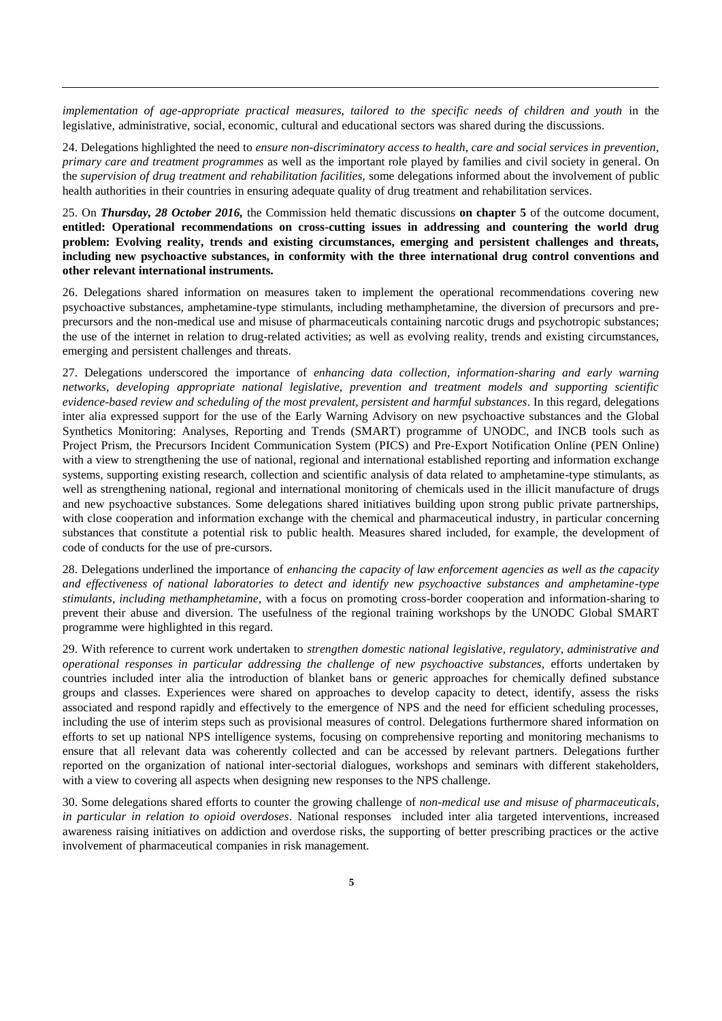*implementation of age-appropriate practical measures, tailored to the specific needs of children and youth* in the legislative, administrative, social, economic, cultural and educational sectors was shared during the discussions.

24. Delegations highlighted the need to *ensure non-discriminatory access to health, care and social services in prevention, primary care and treatment programmes* as well as the important role played by families and civil society in general. On the *supervision of drug treatment and rehabilitation facilities,* some delegations informed about the involvement of public health authorities in their countries in ensuring adequate quality of drug treatment and rehabilitation services.

25. On *Thursday, 28 October 2016,* the Commission held thematic discussions **on chapter 5** of the outcome document, **entitled: Operational recommendations on cross-cutting issues in addressing and countering the world drug problem: Evolving reality, trends and existing circumstances, emerging and persistent challenges and threats, including new psychoactive substances, in conformity with the three international drug control conventions and other relevant international instruments.**

26. Delegations shared information on measures taken to implement the operational recommendations covering new psychoactive substances, amphetamine-type stimulants, including methamphetamine, the diversion of precursors and preprecursors and the non-medical use and misuse of pharmaceuticals containing narcotic drugs and psychotropic substances; the use of the internet in relation to drug-related activities; as well as evolving reality, trends and existing circumstances, emerging and persistent challenges and threats.

27. Delegations underscored the importance of *enhancing data collection, information-sharing and early warning networks, developing appropriate national legislative, prevention and treatment models and supporting scientific evidence-based review and scheduling of the most prevalent, persistent and harmful substances*. In this regard, delegations inter alia expressed support for the use of the Early Warning Advisory on new psychoactive substances and the Global Synthetics Monitoring: Analyses, Reporting and Trends (SMART) programme of UNODC, and INCB tools such as Project Prism, the Precursors Incident Communication System (PICS) and Pre-Export Notification Online (PEN Online) with a view to strengthening the use of national, regional and international established reporting and information exchange systems, supporting existing research, collection and scientific analysis of data related to amphetamine-type stimulants, as well as strengthening national, regional and international monitoring of chemicals used in the illicit manufacture of drugs and new psychoactive substances. Some delegations shared initiatives building upon strong public private partnerships, with close cooperation and information exchange with the chemical and pharmaceutical industry, in particular concerning substances that constitute a potential risk to public health. Measures shared included, for example, the development of code of conducts for the use of pre-cursors.

28. Delegations underlined the importance of *enhancing the capacity of law enforcement agencies as well as the capacity and effectiveness of national laboratories to detect and identify new psychoactive substances and amphetamine-type stimulants, including methamphetamine,* with a focus on promoting cross-border cooperation and information-sharing to prevent their abuse and diversion. The usefulness of the regional training workshops by the UNODC Global SMART programme were highlighted in this regard.

29. With reference to current work undertaken to *strengthen domestic national legislative, regulatory, administrative and operational responses in particular addressing the challenge of new psychoactive substances,* efforts undertaken by countries included inter alia the introduction of blanket bans or generic approaches for chemically defined substance groups and classes. Experiences were shared on approaches to develop capacity to detect, identify, assess the risks associated and respond rapidly and effectively to the emergence of NPS and the need for efficient scheduling processes, including the use of interim steps such as provisional measures of control. Delegations furthermore shared information on efforts to set up national NPS intelligence systems, focusing on comprehensive reporting and monitoring mechanisms to ensure that all relevant data was coherently collected and can be accessed by relevant partners. Delegations further reported on the organization of national inter-sectorial dialogues, workshops and seminars with different stakeholders, with a view to covering all aspects when designing new responses to the NPS challenge.

30. Some delegations shared efforts to counter the growing challenge of *non-medical use and misuse of pharmaceuticals*, *in particular in relation to opioid overdoses*. National responses included inter alia targeted interventions, increased awareness raising initiatives on addiction and overdose risks, the supporting of better prescribing practices or the active involvement of pharmaceutical companies in risk management.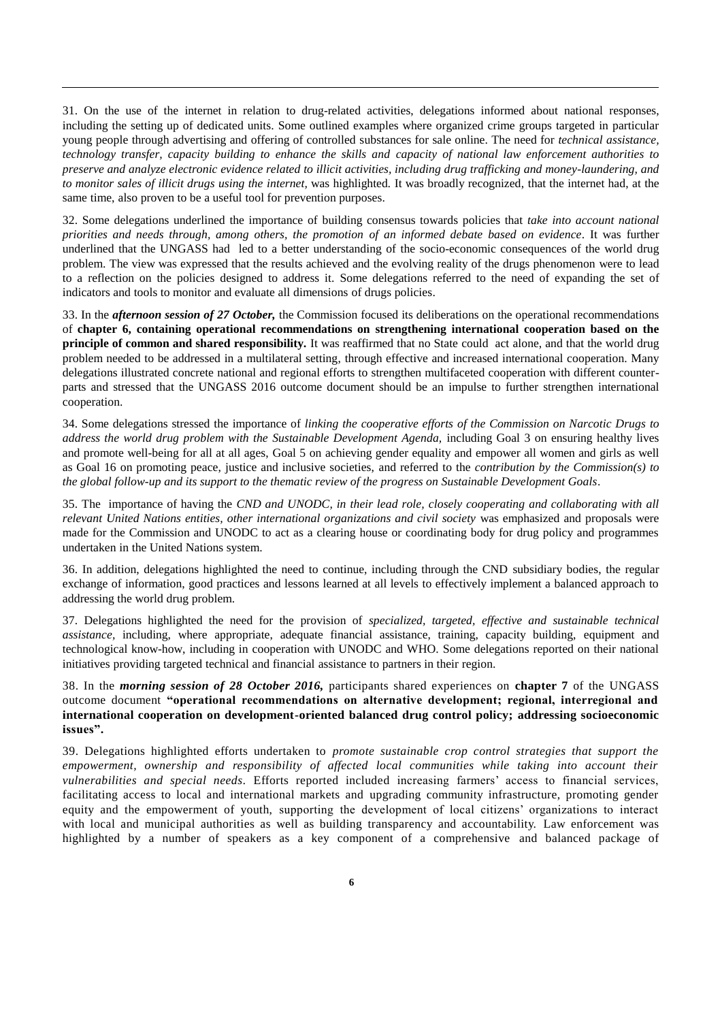31. On the use of the internet in relation to drug-related activities, delegations informed about national responses, including the setting up of dedicated units. Some outlined examples where organized crime groups targeted in particular young people through advertising and offering of controlled substances for sale online. The need for *technical assistance, technology transfer, capacity building to enhance the skills and capacity of national law enforcement authorities to preserve and analyze electronic evidence related to illicit activities, including drug trafficking and money-laundering, and to monitor sales of illicit drugs using the internet,* was highlighted*.* It was broadly recognized, that the internet had, at the same time, also proven to be a useful tool for prevention purposes.

32. Some delegations underlined the importance of building consensus towards policies that *take into account national priorities and needs through, among others, the promotion of an informed debate based on evidence*. It was further underlined that the UNGASS had led to a better understanding of the socio-economic consequences of the world drug problem. The view was expressed that the results achieved and the evolving reality of the drugs phenomenon were to lead to a reflection on the policies designed to address it. Some delegations referred to the need of expanding the set of indicators and tools to monitor and evaluate all dimensions of drugs policies.

33. In the *afternoon session of 27 October,* the Commission focused its deliberations on the operational recommendations of **chapter 6, containing operational recommendations on strengthening international cooperation based on the principle of common and shared responsibility***.* It was reaffirmed that no State could act alone, and that the world drug problem needed to be addressed in a multilateral setting, through effective and increased international cooperation. Many delegations illustrated concrete national and regional efforts to strengthen multifaceted cooperation with different counterparts and stressed that the UNGASS 2016 outcome document should be an impulse to further strengthen international cooperation.

34. Some delegations stressed the importance of *linking the cooperative efforts of the Commission on Narcotic Drugs to address the world drug problem with the Sustainable Development Agenda,* including Goal 3 on ensuring healthy lives and promote well-being for all at all ages, Goal 5 on achieving gender equality and empower all women and girls as well as Goal 16 on promoting peace, justice and inclusive societies, and referred to the *contribution by the Commission(s) to the global follow-up and its support to the thematic review of the progress on Sustainable Development Goals*.

35. The importance of having the *CND and UNODC, in their lead role, closely cooperating and collaborating with all relevant United Nations entities, other international organizations and civil society* was emphasized and proposals were made for the Commission and UNODC to act as a clearing house or coordinating body for drug policy and programmes undertaken in the United Nations system.

36. In addition, delegations highlighted the need to continue, including through the CND subsidiary bodies, the regular exchange of information, good practices and lessons learned at all levels to effectively implement a balanced approach to addressing the world drug problem.

37. Delegations highlighted the need for the provision of *specialized, targeted, effective and sustainable technical assistance,* including, where appropriate, adequate financial assistance, training, capacity building, equipment and technological know-how, including in cooperation with UNODC and WHO. Some delegations reported on their national initiatives providing targeted technical and financial assistance to partners in their region.

38. In the *morning session of 28 October 2016,* participants shared experiences on **chapter 7** of the UNGASS outcome document **"operational recommendations on alternative development; regional, interregional and international cooperation on development-oriented balanced drug control policy; addressing socioeconomic issues".** 

39. Delegations highlighted efforts undertaken to *promote sustainable crop control strategies that support the empowerment, ownership and responsibility of affected local communities while taking into account their vulnerabilities and special needs.* Efforts reported included increasing farmers' access to financial services, facilitating access to local and international markets and upgrading community infrastructure, promoting gender equity and the empowerment of youth, supporting the development of local citizens' organizations to interact with local and municipal authorities as well as building transparency and accountability. Law enforcement was highlighted by a number of speakers as a key component of a comprehensive and balanced package of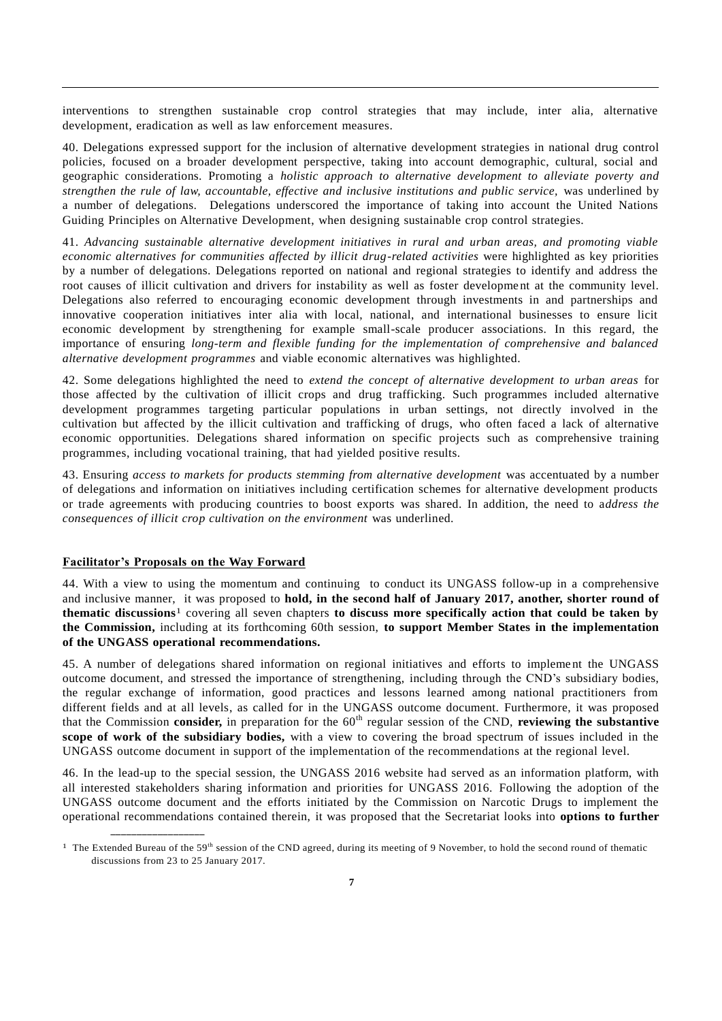interventions to strengthen sustainable crop control strategies that may include, inter alia, alternative development, eradication as well as law enforcement measures.

40. Delegations expressed support for the inclusion of alternative development strategies in national drug control policies, focused on a broader development perspective, taking into account demographic, cultural, social and geographic considerations. Promoting a *holistic approach to alternative development to alleviate poverty and strengthen the rule of law, accountable, effective and inclusive institutions and public service,* was underlined by a number of delegations.Delegations underscored the importance of taking into account the United Nations Guiding Principles on Alternative Development, when designing sustainable crop control strategies.

41. *Advancing sustainable alternative development initiatives in rural and urban areas, and promoting viable economic alternatives for communities affected by illicit drug-related activities* were highlighted as key priorities by a number of delegations. Delegations reported on national and regional strategies to identify and address the root causes of illicit cultivation and drivers for instability as well as foster development at the community level. Delegations also referred to encouraging economic development through investments in and partnerships and innovative cooperation initiatives inter alia with local, national, and international businesses to ensure licit economic development by strengthening for example small-scale producer associations. In this regard, the importance of ensuring *long-term and flexible funding for the implementation of comprehensive and balanced alternative development programmes* and viable economic alternatives was highlighted.

42. Some delegations highlighted the need to *extend the concept of alternative development to urban areas* for those affected by the cultivation of illicit crops and drug trafficking. Such programmes included alternative development programmes targeting particular populations in urban settings, not directly involved in the cultivation but affected by the illicit cultivation and trafficking of drugs, who often faced a lack of alternative economic opportunities. Delegations shared information on specific projects such as comprehensive training programmes, including vocational training, that had yielded positive results.

43. Ensuring *access to markets for products stemming from alternative development* was accentuated by a number of delegations and information on initiatives including certification schemes for alternative development products or trade agreements with producing countries to boost exports was shared. In addition, the need to a*ddress the consequences of illicit crop cultivation on the environment* was underlined.

## **Facilitator's Proposals on the Way Forward**

**\_\_\_\_\_\_\_\_\_\_\_\_\_\_\_\_\_\_**

44. With a view to using the momentum and continuing to conduct its UNGASS follow-up in a comprehensive and inclusive manner, it was proposed to **hold, in the second half of January 2017, another, shorter round of thematic discussions**1 covering all seven chapters **to discuss more specifically action that could be taken by the Commission,** including at its forthcoming 60th session, **to support Member States in the implementation of the UNGASS operational recommendations.** 

45. A number of delegations shared information on regional initiatives and efforts to impleme nt the UNGASS outcome document, and stressed the importance of strengthening, including through the CND's subsidiary bodies, the regular exchange of information, good practices and lessons learned among national practitioners from different fields and at all levels, as called for in the UNGASS outcome document. Furthermore, it was proposed that the Commission **consider,** in preparation for the 60<sup>th</sup> regular session of the CND, **reviewing the substantive scope of work of the subsidiary bodies,** with a view to covering the broad spectrum of issues included in the UNGASS outcome document in support of the implementation of the recommendations at the regional level.

46. In the lead-up to the special session, the UNGASS 2016 website had served as an information platform, with all interested stakeholders sharing information and priorities for UNGASS 2016. Following the adoption of the UNGASS outcome document and the efforts initiated by the Commission on Narcotic Drugs to implement the operational recommendations contained therein, it was proposed that the Secretariat looks into **options to further** 

<sup>&</sup>lt;sup>1</sup> The Extended Bureau of the 59<sup>th</sup> session of the CND agreed, during its meeting of 9 November, to hold the second round of thematic discussions from 23 to 25 January 2017.